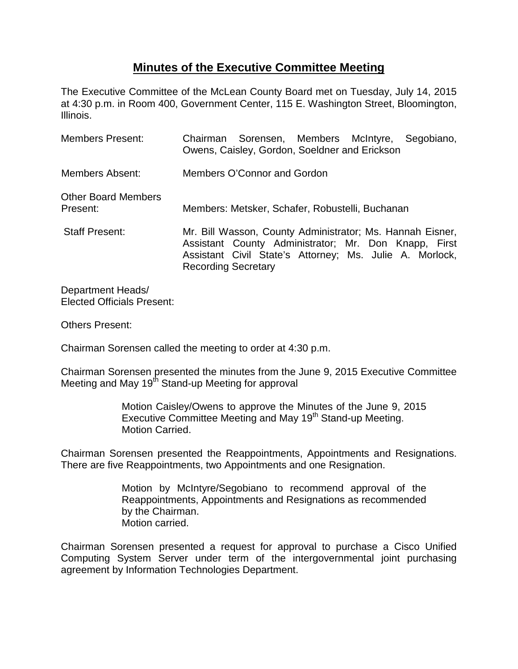## **Minutes of the Executive Committee Meeting**

The Executive Committee of the McLean County Board met on Tuesday, July 14, 2015 at 4:30 p.m. in Room 400, Government Center, 115 E. Washington Street, Bloomington, Illinois.

| <b>Members Present:</b>                | Chairman Sorensen, Members McIntyre,<br>Segobiano,<br>Owens, Caisley, Gordon, Soeldner and Erickson                                                                                                        |
|----------------------------------------|------------------------------------------------------------------------------------------------------------------------------------------------------------------------------------------------------------|
| <b>Members Absent:</b>                 | Members O'Connor and Gordon                                                                                                                                                                                |
| <b>Other Board Members</b><br>Present: | Members: Metsker, Schafer, Robustelli, Buchanan                                                                                                                                                            |
| <b>Staff Present:</b>                  | Mr. Bill Wasson, County Administrator; Ms. Hannah Eisner,<br>Assistant County Administrator; Mr. Don Knapp, First<br>Assistant Civil State's Attorney; Ms. Julie A. Morlock,<br><b>Recording Secretary</b> |

Department Heads/ Elected Officials Present:

Others Present:

Chairman Sorensen called the meeting to order at 4:30 p.m.

Chairman Sorensen presented the minutes from the June 9, 2015 Executive Committee Meeting and May 19<sup>th</sup> Stand-up Meeting for approval

> Motion Caisley/Owens to approve the Minutes of the June 9, 2015 Executive Committee Meeting and May 19<sup>th</sup> Stand-up Meeting. Motion Carried.

Chairman Sorensen presented the Reappointments, Appointments and Resignations. There are five Reappointments, two Appointments and one Resignation.

> Motion by McIntyre/Segobiano to recommend approval of the Reappointments, Appointments and Resignations as recommended by the Chairman. Motion carried.

Chairman Sorensen presented a request for approval to purchase a Cisco Unified Computing System Server under term of the intergovernmental joint purchasing agreement by Information Technologies Department.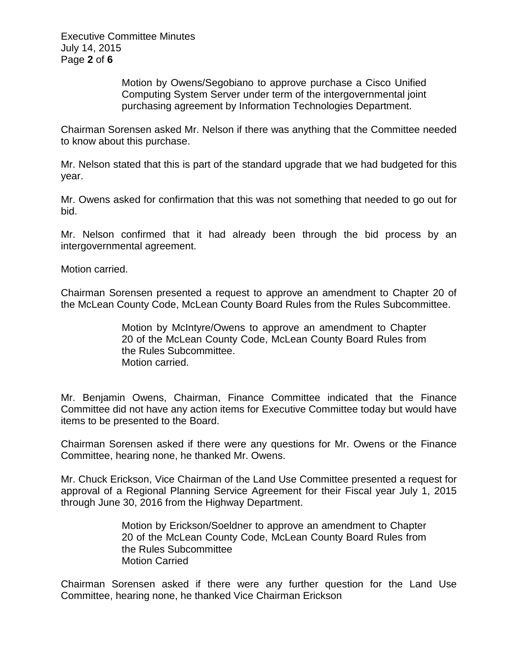Executive Committee Minutes July 14, 2015 Page **2** of **6**

> Motion by Owens/Segobiano to approve purchase a Cisco Unified Computing System Server under term of the intergovernmental joint purchasing agreement by Information Technologies Department.

Chairman Sorensen asked Mr. Nelson if there was anything that the Committee needed to know about this purchase.

Mr. Nelson stated that this is part of the standard upgrade that we had budgeted for this year.

Mr. Owens asked for confirmation that this was not something that needed to go out for bid.

Mr. Nelson confirmed that it had already been through the bid process by an intergovernmental agreement.

Motion carried.

Chairman Sorensen presented a request to approve an amendment to Chapter 20 of the McLean County Code, McLean County Board Rules from the Rules Subcommittee.

> Motion by McIntyre/Owens to approve an amendment to Chapter 20 of the McLean County Code, McLean County Board Rules from the Rules Subcommittee. Motion carried.

Mr. Benjamin Owens, Chairman, Finance Committee indicated that the Finance Committee did not have any action items for Executive Committee today but would have items to be presented to the Board.

Chairman Sorensen asked if there were any questions for Mr. Owens or the Finance Committee, hearing none, he thanked Mr. Owens.

Mr. Chuck Erickson, Vice Chairman of the Land Use Committee presented a request for approval of a Regional Planning Service Agreement for their Fiscal year July 1, 2015 through June 30, 2016 from the Highway Department.

> Motion by Erickson/Soeldner to approve an amendment to Chapter 20 of the McLean County Code, McLean County Board Rules from the Rules Subcommittee Motion Carried

Chairman Sorensen asked if there were any further question for the Land Use Committee, hearing none, he thanked Vice Chairman Erickson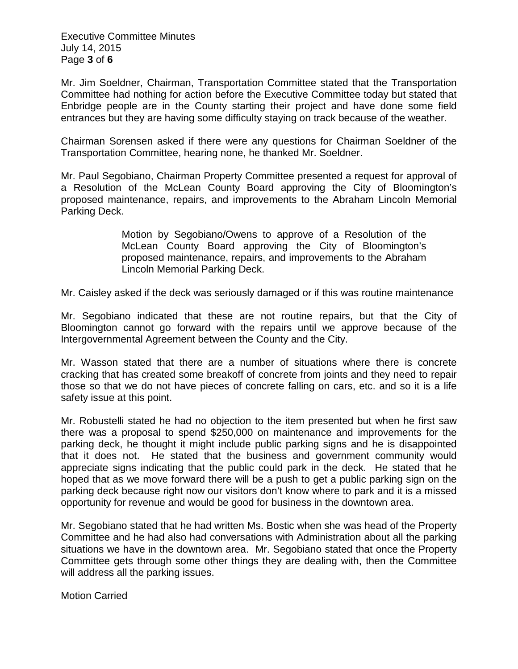Executive Committee Minutes July 14, 2015 Page **3** of **6**

Mr. Jim Soeldner, Chairman, Transportation Committee stated that the Transportation Committee had nothing for action before the Executive Committee today but stated that Enbridge people are in the County starting their project and have done some field entrances but they are having some difficulty staying on track because of the weather.

Chairman Sorensen asked if there were any questions for Chairman Soeldner of the Transportation Committee, hearing none, he thanked Mr. Soeldner.

Mr. Paul Segobiano, Chairman Property Committee presented a request for approval of a Resolution of the McLean County Board approving the City of Bloomington's proposed maintenance, repairs, and improvements to the Abraham Lincoln Memorial Parking Deck.

> Motion by Segobiano/Owens to approve of a Resolution of the McLean County Board approving the City of Bloomington's proposed maintenance, repairs, and improvements to the Abraham Lincoln Memorial Parking Deck.

Mr. Caisley asked if the deck was seriously damaged or if this was routine maintenance

Mr. Segobiano indicated that these are not routine repairs, but that the City of Bloomington cannot go forward with the repairs until we approve because of the Intergovernmental Agreement between the County and the City.

Mr. Wasson stated that there are a number of situations where there is concrete cracking that has created some breakoff of concrete from joints and they need to repair those so that we do not have pieces of concrete falling on cars, etc. and so it is a life safety issue at this point.

Mr. Robustelli stated he had no objection to the item presented but when he first saw there was a proposal to spend \$250,000 on maintenance and improvements for the parking deck, he thought it might include public parking signs and he is disappointed that it does not. He stated that the business and government community would appreciate signs indicating that the public could park in the deck. He stated that he hoped that as we move forward there will be a push to get a public parking sign on the parking deck because right now our visitors don't know where to park and it is a missed opportunity for revenue and would be good for business in the downtown area.

Mr. Segobiano stated that he had written Ms. Bostic when she was head of the Property Committee and he had also had conversations with Administration about all the parking situations we have in the downtown area. Mr. Segobiano stated that once the Property Committee gets through some other things they are dealing with, then the Committee will address all the parking issues.

Motion Carried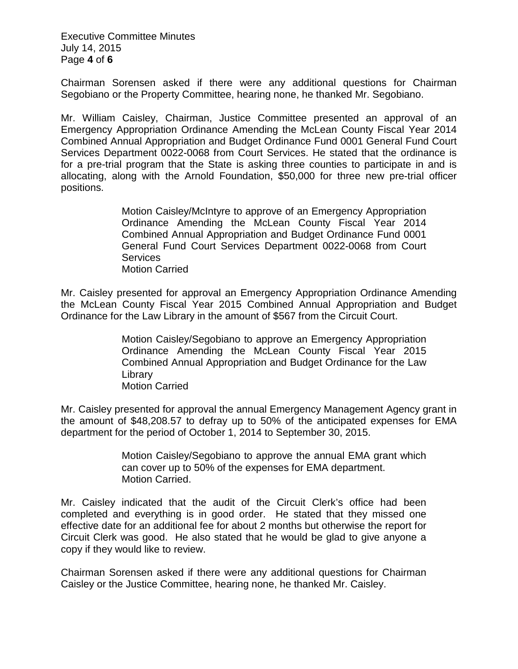Executive Committee Minutes July 14, 2015 Page **4** of **6**

Chairman Sorensen asked if there were any additional questions for Chairman Segobiano or the Property Committee, hearing none, he thanked Mr. Segobiano.

Mr. William Caisley, Chairman, Justice Committee presented an approval of an Emergency Appropriation Ordinance Amending the McLean County Fiscal Year 2014 Combined Annual Appropriation and Budget Ordinance Fund 0001 General Fund Court Services Department 0022-0068 from Court Services. He stated that the ordinance is for a pre-trial program that the State is asking three counties to participate in and is allocating, along with the Arnold Foundation, \$50,000 for three new pre-trial officer positions.

> Motion Caisley/McIntyre to approve of an Emergency Appropriation Ordinance Amending the McLean County Fiscal Year 2014 Combined Annual Appropriation and Budget Ordinance Fund 0001 General Fund Court Services Department 0022-0068 from Court **Services** Motion Carried

Mr. Caisley presented for approval an Emergency Appropriation Ordinance Amending the McLean County Fiscal Year 2015 Combined Annual Appropriation and Budget Ordinance for the Law Library in the amount of \$567 from the Circuit Court.

> Motion Caisley/Segobiano to approve an Emergency Appropriation Ordinance Amending the McLean County Fiscal Year 2015 Combined Annual Appropriation and Budget Ordinance for the Law **Library** Motion Carried

Mr. Caisley presented for approval the annual Emergency Management Agency grant in the amount of \$48,208.57 to defray up to 50% of the anticipated expenses for EMA department for the period of October 1, 2014 to September 30, 2015.

> Motion Caisley/Segobiano to approve the annual EMA grant which can cover up to 50% of the expenses for EMA department. Motion Carried.

Mr. Caisley indicated that the audit of the Circuit Clerk's office had been completed and everything is in good order. He stated that they missed one effective date for an additional fee for about 2 months but otherwise the report for Circuit Clerk was good. He also stated that he would be glad to give anyone a copy if they would like to review.

Chairman Sorensen asked if there were any additional questions for Chairman Caisley or the Justice Committee, hearing none, he thanked Mr. Caisley.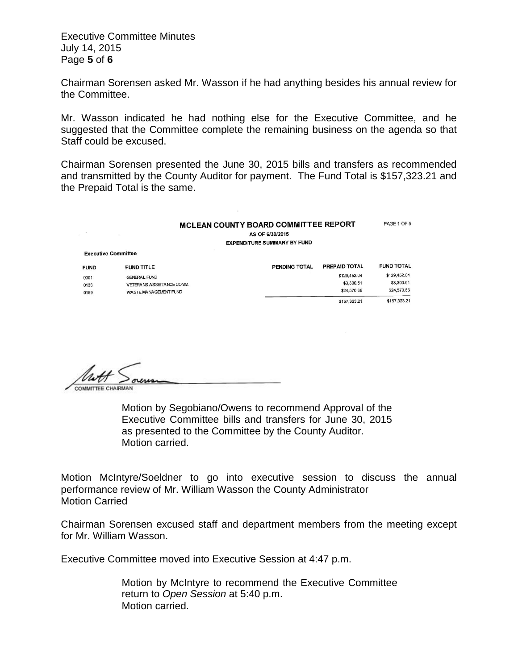Executive Committee Minutes July 14, 2015 Page **5** of **6**

Chairman Sorensen asked Mr. Wasson if he had anything besides his annual review for the Committee.

Mr. Wasson indicated he had nothing else for the Executive Committee, and he suggested that the Committee complete the remaining business on the agenda so that Staff could be excused.

Chairman Sorensen presented the June 30, 2015 bills and transfers as recommended and transmitted by the County Auditor for payment. The Fund Total is \$157,323.21 and the Prepaid Total is the same.

## MCLEAN COUNTY BOARD COMMITTEE REPORT AS OF 6/30/2015 EXPENDITURE SUMMARY BY FUND

PAGE 1 OF 5

| <b>Executive Committee</b> |                                  |               |               |                   |
|----------------------------|----------------------------------|---------------|---------------|-------------------|
| <b>FUND</b>                | <b>FUND TITLE</b>                | PENDING TOTAL | PREPAID TOTAL | <b>FUND TOTAL</b> |
| 0001                       | <b>GENERAL FUND</b>              |               | \$129,452.04  | \$129,452.04      |
| 0136                       | <b>VETERANS ASSISTANCE COMM.</b> |               | \$3,300.51    | \$3,300.51        |
| 0159                       | WASTE MANAGEMENT FUND            |               | \$24,570.66   | \$24,570.66       |
|                            |                                  |               | \$157,323.21  | \$157,323.21      |

Motion by Segobiano/Owens to recommend Approval of the Executive Committee bills and transfers for June 30, 2015 as presented to the Committee by the County Auditor. Motion carried.

Motion McIntyre/Soeldner to go into executive session to discuss the annual performance review of Mr. William Wasson the County Administrator Motion Carried

Chairman Sorensen excused staff and department members from the meeting except for Mr. William Wasson.

Executive Committee moved into Executive Session at 4:47 p.m.

Motion by McIntyre to recommend the Executive Committee return to *Open Session* at 5:40 p.m. Motion carried.